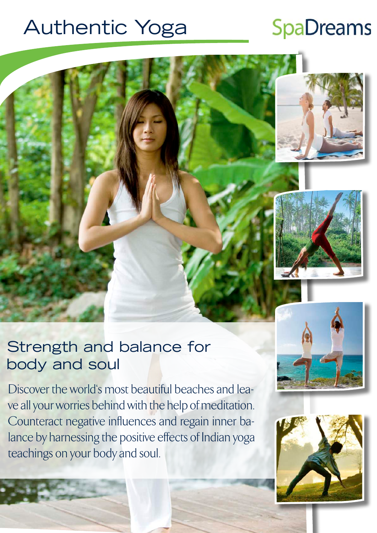# Authentic Yoga

# **SpaDreams**





## Strength and balance for body and soul

Discover the world's most beautiful beaches and leave all your worries behind with the help of meditation. Counteract negative influences and regain inner balance by harnessing the positive effects of Indian yoga teachings on your body and soul.



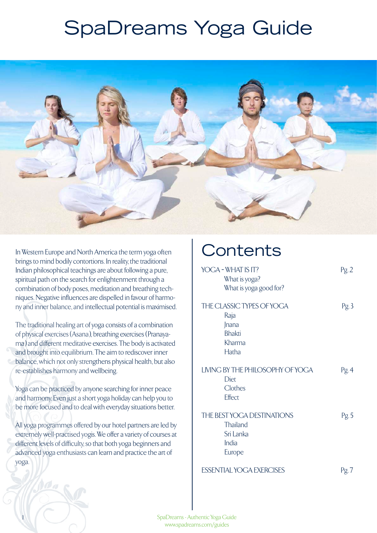# SpaDreams Yoga Guide



In Western Europe and North America the term yoga often brings to mind bodily contortions. In reality, the traditional Indian philosophical teachings are about following a pure, spiritual path on the search for enlightenment through a combination of body poses, meditation and breathing techniques. Negative influences are dispelled in favour of harmony and inner balance, and intellectual potential is maximised.

The traditional healing art of yoga consists of a combination of physical exercises (Asana), breathing exercises (Pranayama) and different meditative exercises. The body is activated and brought into equilibrium. The aim to rediscover inner balance, which not only strengthens physical health, but also re-establishes harmony and wellbeing.

Yoga can be practiced by anyone searching for inner peace and harmony. Even just a short yoga holiday can help you to be more focused and to deal with everyday situations better.

All yoga programmes offered by our hotel partners are led by extremely well-practised yogis. We offer a variety of courses at different levels of difficulty, so that both yoga beginners and advanced yoga enthusiasts can learn and practice the art of yoga.

# **Contents**

| YOGA - WHAT IS IT?<br>What is yoga?<br>What is yoga good for?                  | Pg.2  |
|--------------------------------------------------------------------------------|-------|
| THE CLASSIC TYPES OF YOGA<br>Raja<br>Jnana<br><b>Bhakti</b><br>Kharma<br>Hatha | Pg.3  |
| LIVING BY THE PHILOSOPHY OF YOGA<br>Diet<br>Clothes<br>Effect                  | Pg. 4 |
| THE BEST YOGA DESTINATIONS<br>Thailand<br>Sri Lanka<br>India<br>Europe         | Pg.5  |
| <b>ESSENTIAL YOGA EXERCISES</b>                                                | Pg. 7 |

SpaDreams - Authentic Yoga Guide www.spadreams.com/guides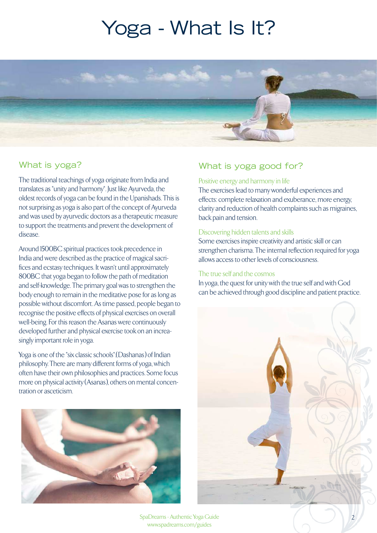# Yoga - What Is It?



### What is yoga?

The traditional teachings of yoga originate from India and translates as "unity and harmony". Just like Ayurveda, the oldest records of yoga can be found in the Upanishads. This is not surprising as yoga is also part of the concept of Ayurveda and was used by ayurvedic doctors as a therapeutic measure to support the treatments and prevent the development of disease.

Around 1500BC spiritual practices took precedence in India and were described as the practice of magical sacrifices and ecstasy techniques. It wasn't until approximately 800BC that yoga began to follow the path of meditation and self-knowledge. The primary goal was to strengthen the body enough to remain in the meditative pose for as long as possible without discomfort. As time passed, people began to recognise the positive effects of physical exercises on overall well-being. For this reason the Asanas were continuously developed further and physical exercise took on an increasingly important role in yoga.

Yoga is one of the "six classic schools".(Dashanas) of Indian philosophy. There are many different forms of yoga, which often have their own philosophies and practices. Some focus more on physical activity (Asanas), others on mental concentration or asceticism.



## What is yoga good for?

#### Positive energy and harmony in life

The exercises lead to many wonderful experiences and effects: complete relaxation and exuberance, more energy, clarity and reduction of health complaints such as migraines, back pain and tension.

#### Discovering hidden talents and skills

Some exercises inspire creativity and artistic skill or can strengthen charisma. The internal reflection required for yoga allows access to other levels of consciousness.

#### The true self and the cosmos

In yoga, the quest for unity with the true self and with God can be achieved through good discipline and patient practice.



SpaDreams - Authentic Yoga Guide 2 www.spadreams.com/guides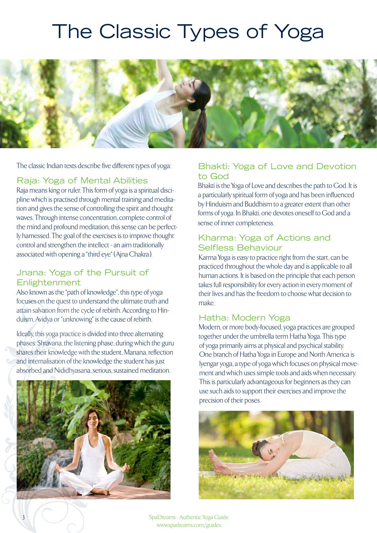# The Classic Types of Yoga



The classic Indian texts describe five different types of yoga:

#### Raja: Yoga of Mental Abilities

Raja means king or ruler. This form of yoga is a spiritual discipline which is practised through mental training and meditation and gives the sense of controlling the spirit and thought waves. Through intense concentration, complete control of the mind and profound meditation, this sense can be perfectly harnessed. The goal of the exercises is to improve thought control and strengthen the intellect - an aim traditionally associated with opening a "third eye" (Ajna Chakra).

#### Jnana: Yoga of the Pursuit of **Enlightenment**

Also known as the "path of knowledge", this type of yoga focuses on the quest to understand the ultimate truth and attain salvation from the cycle of rebirth. According to Hinduism, Avidya or "unknowing" is the cause of rebirth.

Ideally, this yoga practice is divided into three alternating phases: Shravana, the listening phase, during which the guru shares their knowledge with the student, Manana, reflection and internalisation of the knowledge the student has just absorbed and Nididhyasana, serious, sustained meditation.



3

### Bhakti: Yoga of Love and Devotion to God

Bhakti is the Yoga of Love and describes the path to God. It is a particularly spiritual form of yoga and has been influenced by Hinduism and Buddhism to a greater extent than other forms of yoga. In Bhakti, one devotes oneself to God and a sense of inner completeness.

#### Kharma: Yoga of Actions and Selfless Behaviour

Karma Yoga is easy to practice right from the start, can be practiced throughout the whole day and is applicable to all human actions. It is based on the principle that each person takes full responsibility for every action in every moment of their lives and has the freedom to choose what decision to make.

#### Hatha: Modern Yoga

Modern, or more body-focused, yoga practices are grouped together under the umbrella term Hatha Yoga. This type of yoga primarily aims at physical and psychical stability. One branch of Hatha Yoga in Europe and North America is lyengar yoga, a type of yoga which focuses on physical movement and which uses simple tools and aids when necessary. This is particularly advantageous for beginners as they can use such aids to support their exercises and improve the precision of their poses.



SpaDreams - Authentic Yoga Guide www.spadreams.com/guides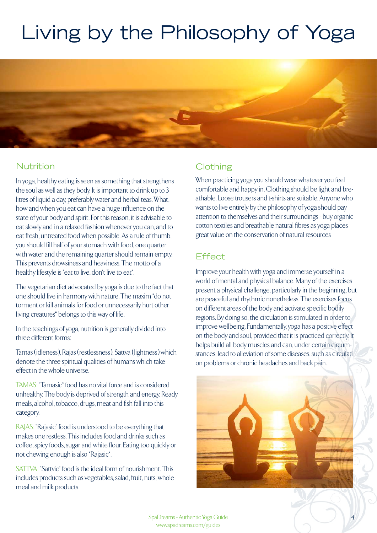# Living by the Philosophy of Yoga



### Nutrition

In yoga, healthy eating is seen as something that strengthens the soul as well as they body. It is important to drink up to 3 litres of liquid a day, preferably water and herbal teas. What, how and when you eat can have a huge influence on the state of your body and spirit. For this reason, it is advisable to eat slowly and in a relaxed fashion whenever you can, and to eat fresh, untreated food when possible. As a rule of thumb, you should fill half of your stomach with food, one quarter with water and the remaining quarter should remain empty. This prevents drowsiness and heaviness. The motto of a healthy lifestyle is "eat to live, don't live to eat".

The vegetarian diet advocated by yoga is due to the fact that one should live in harmony with nature. The maxim "do not torment or kill animals for food or unnecessarily hurt other living creatures" belongs to this way of life.

In the teachings of yoga, nutrition is generally divided into three different forms:

Tamas (idleness), Rajas (restlessness), Sattva (lightness) which denote the three spiritual qualities of humans which take effect in the whole universe.

TAMAS: "Tamasic" food has no vital force and is considered unhealthy. The body is deprived of strength and energy. Ready meals, alcohol, tobacco, drugs, meat and fish fall into this category.

RAJAS: "Rajasic" food is understood to be everything that makes one restless. This includes food and drinks such as coffee, spicy foods, sugar and white flour. Eating too quickly or not chewing enough is also "Rajasic".

SATTVA: "Sattvic" food is the ideal form of nourishment. This includes products such as vegetables, salad, fruit, nuts, wholemeal and milk products.

## **Clothing**

When practicing yoga you should wear whatever you feel comfortable and happy in. Clothing should be light and breathable. Loose trousers and t-shirts are suitable. Anyone who wants to live entirely by the philosophy of yoga should pay attention to themselves and their surroundings - buy organic cotton textiles and breathable natural fibres as yoga places great value on the conservation of natural resources

### **Effect**

Improve your health with yoga and immerse yourself in a world of mental and physical balance. Many of the exercises present a physical challenge, particularly in the beginning, but are peaceful and rhythmic nonetheless. The exercises focus on different areas of the body and activate specific bodily regions. By doing so, the circulation is stimulated in order to improve wellbeing. Fundamentally, yoga has a positive effect on the body and soul, provided that it is practiced correctly. It helps build all body muscles and can, under certain circumstances, lead to alleviation of some diseases, such as circulation problems or chronic headaches and back pain.



SpaDreams - Authentic Yoga Guide 4 SpaDreams - Authentic Yoga Guide www.spadreams.com/guides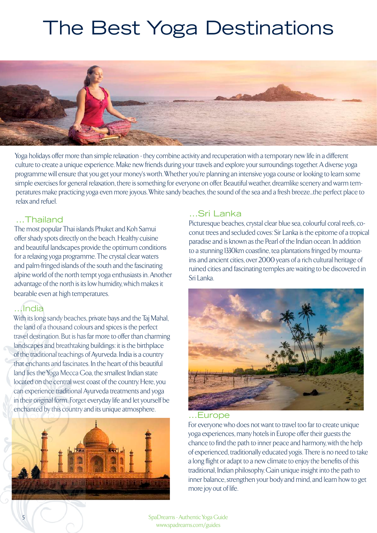# The Best Yoga Destinations



Yoga holidays offer more than simple relaxation - they combine activity and recuperation with a temporary new life in a different culture to create a unique experience. Make new friends during your travels and explore your surroundings together. A diverse yoga programme will ensure that you get your money's worth. Whether you're planning an intensive yoga course or looking to learn some simple exercises for general relaxation, there is something for everyone on offer. Beautiful weather, dreamlike scenery and warm temperatures make practicing yoga even more joyous. White sandy beaches, the sound of the sea and a fresh breeze...the perfect place to relax and refuel.

#### ...Thailand

The most popular Thai islands Phuket and Koh Samui offer shady spots directly on the beach. Healthy cuisine and beautiful landscapes provide the optimum conditions for a relaxing yoga programme. The crystal clear waters and palm-fringed islands of the south and the fascinating alpine world of the north tempt yoga enthusiasts in. Another advantage of the north is its low humidity, which makes it bearable even at high temperatures.

### ...India

With its long sandy beaches, private bays and the Taj Mahal, the land of a thousand colours and spices is the perfect travel destination. But is has far more to offer than charming landscapes and breathtaking buildings: it is the birthplace of the traditional teachings of Ayurveda. India is a country that enchants and fascinates. In the heart of this beautiful land lies the Yoga Mecca Goa, the smallest Indian state located on the central west coast of the country. Here, you can experience traditional Ayurveda treatments and yoga in their original form. Forget everyday life and let yourself be enchanted by this country and its unique atmosphere.



### ...Sri Lanka

Picturesque beaches, crystal clear blue sea, colourful coral reefs, coconut trees and secluded coves: Sir Lanka is the epitome of a tropical paradise and is known as the Pearl of the Indian ocean. In addition to a stunning 1330km coastline, tea plantations fringed by mountains and ancient cities, over 2000 years of a rich cultural heritage of ruined cities and fascinating temples are waiting to be discovered in Sri Lanka.



### ...Europe

For everyone who does not want to travel too far to create unique yoga experiences, many hotels in Europe offer their guests the chance to find the path to inner peace and harmony, with the help of experienced, traditionally educated yogis. There is no need to take a long flight or adapt to a new climate to enjoy the benefits of this traditional, Indian philosophy. Gain unique insight into the path to inner balance, strengthen your body and mind, and learn how to get more joy out of life.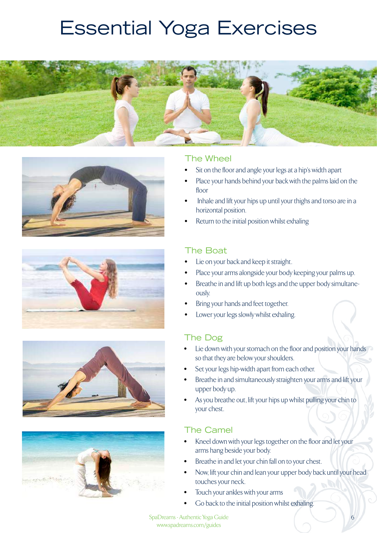# **Essential Yoga Exercises**











#### The Wheel

- Sit on the floor and angle your legs at a hip's width apart
- Place your hands behind your back with the palms laid on the floor
- Inhale and lift your hips up until your thighs and torso are in a horizontal position.
- Return to the initial position whilst exhaling

#### The Boat

- Lie on your back and keep it straight.
- Place your arms alongside your body keeping your palms up.
- Breathe in and lift up both legs and the upper body simultaneously.
- Bring your hands and feet together.
- Lower your legs slowly whilst exhaling.

### The Dog

- Lie down with your stomach on the floor and position your hands so that they are below your shoulders.
- Set your legs hip-width apart from each other.
- Breathe in and simultaneously straighten your arms and lift your upper body up.
- As you breathe out, lift your hips up whilst pulling your chin to your chest.

### The Camel

- Kneel down with your legs together on the floor and let your arms hang beside your body.
- Breathe in and let your chin fall on to your chest.
- Now, lift your chin and lean your upper body back until your head touches your neck.
- Touch your ankles with your arms
- Go back to the initial position whilst exhaling.